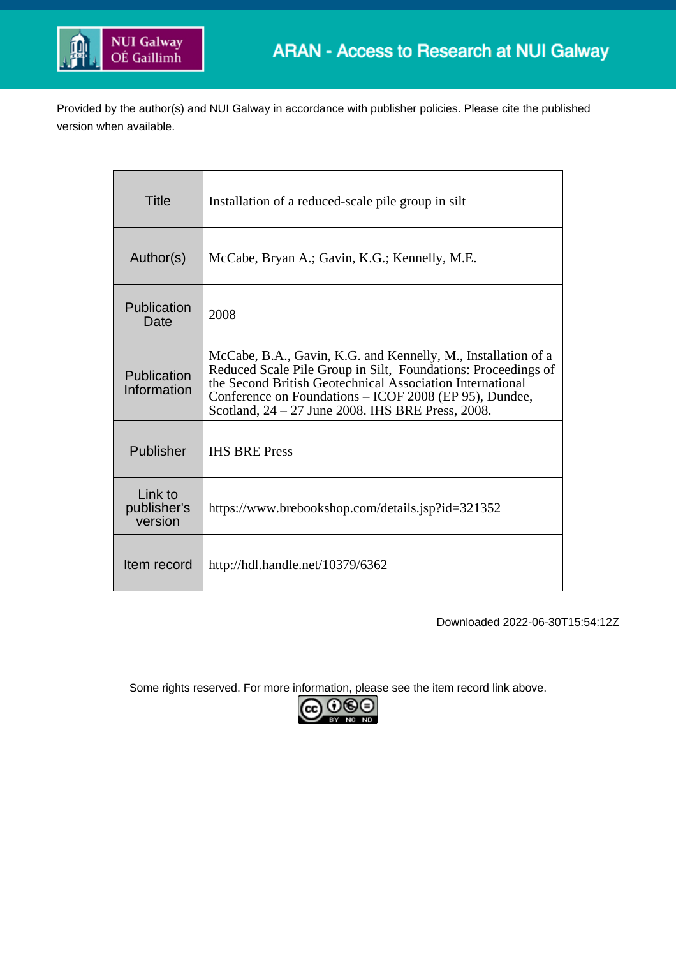

Provided by the author(s) and NUI Galway in accordance with publisher policies. Please cite the published version when available.

| Title                             | Installation of a reduced-scale pile group in silt                                                                                                                                                                                                                                                         |
|-----------------------------------|------------------------------------------------------------------------------------------------------------------------------------------------------------------------------------------------------------------------------------------------------------------------------------------------------------|
| Author(s)                         | McCabe, Bryan A.; Gavin, K.G.; Kennelly, M.E.                                                                                                                                                                                                                                                              |
| Publication<br>Date               | 2008                                                                                                                                                                                                                                                                                                       |
| Publication<br>Information        | McCabe, B.A., Gavin, K.G. and Kennelly, M., Installation of a<br>Reduced Scale Pile Group in Silt, Foundations: Proceedings of<br>the Second British Geotechnical Association International<br>Conference on Foundations - ICOF 2008 (EP 95), Dundee,<br>Scotland, 24 – 27 June 2008. IHS BRE Press, 2008. |
| Publisher                         | <b>IHS BRE Press</b>                                                                                                                                                                                                                                                                                       |
| Link to<br>publisher's<br>version | https://www.brebookshop.com/details.jsp?id=321352                                                                                                                                                                                                                                                          |
| Item record                       | http://hdl.handle.net/10379/6362                                                                                                                                                                                                                                                                           |

Downloaded 2022-06-30T15:54:12Z

Some rights reserved. For more information, please see the item record link above.

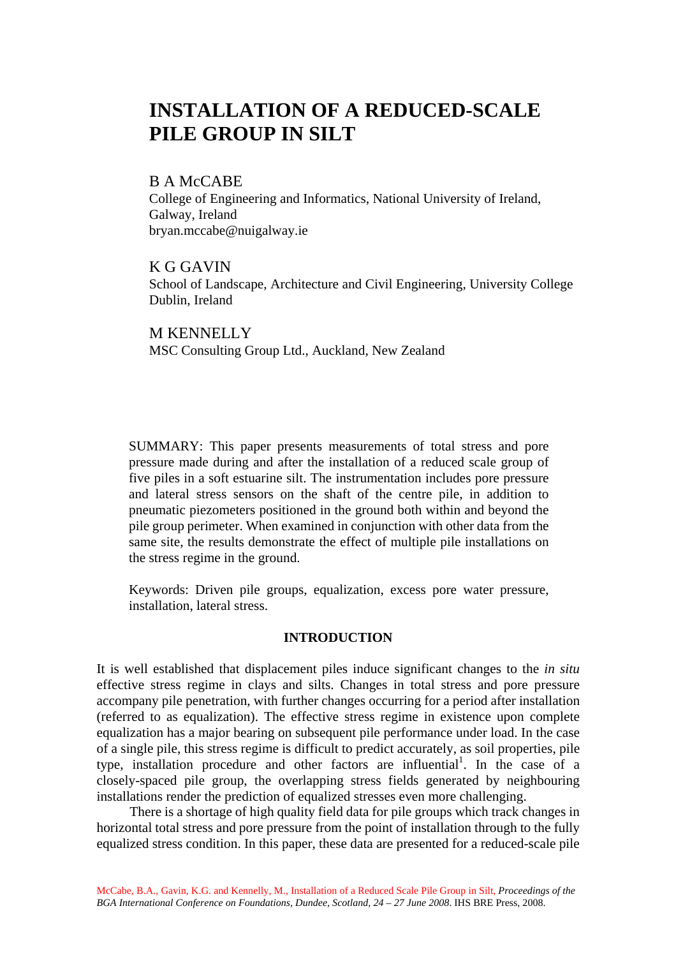# **INSTALLATION OF A REDUCED-SCALE PILE GROUP IN SILT**

# B A McCABE

College of Engineering and Informatics, National University of Ireland, Galway, Ireland bryan.mccabe@nuigalway.ie

K G GAVIN School of Landscape, Architecture and Civil Engineering, University College Dublin, Ireland

M KENNELLY MSC Consulting Group Ltd., Auckland, New Zealand

SUMMARY: This paper presents measurements of total stress and pore pressure made during and after the installation of a reduced scale group of five piles in a soft estuarine silt. The instrumentation includes pore pressure and lateral stress sensors on the shaft of the centre pile, in addition to pneumatic piezometers positioned in the ground both within and beyond the pile group perimeter. When examined in conjunction with other data from the same site, the results demonstrate the effect of multiple pile installations on the stress regime in the ground.

Keywords: Driven pile groups, equalization, excess pore water pressure, installation, lateral stress.

# **INTRODUCTION**

It is well established that displacement piles induce significant changes to the *in situ* effective stress regime in clays and silts. Changes in total stress and pore pressure accompany pile penetration, with further changes occurring for a period after installation (referred to as equalization). The effective stress regime in existence upon complete equalization has a major bearing on subsequent pile performance under load. In the case of a single pile, this stress regime is difficult to predict accurately, as soil properties, pile type, installation procedure and other factors are influential<sup>1</sup>. In the case of a closely-spaced pile group, the overlapping stress fields generated by neighbouring installations render the prediction of equalized stresses even more challenging.

 There is a shortage of high quality field data for pile groups which track changes in horizontal total stress and pore pressure from the point of installation through to the fully equalized stress condition. In this paper, these data are presented for a reduced-scale pile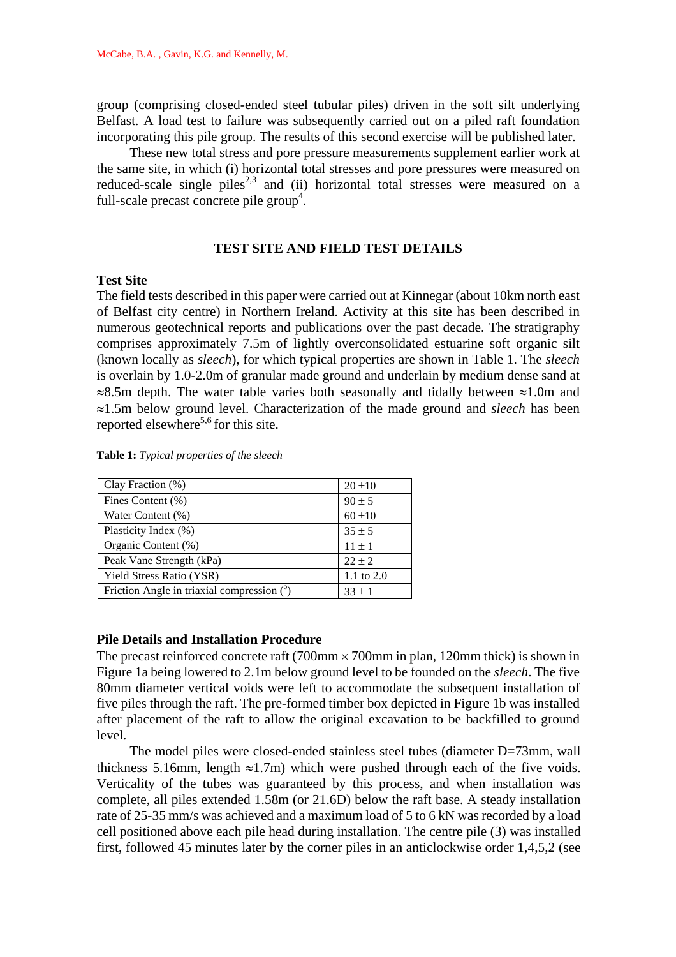group (comprising closed-ended steel tubular piles) driven in the soft silt underlying Belfast. A load test to failure was subsequently carried out on a piled raft foundation incorporating this pile group. The results of this second exercise will be published later.

 These new total stress and pore pressure measurements supplement earlier work at the same site, in which (i) horizontal total stresses and pore pressures were measured on reduced-scale single piles<sup>2,3</sup> and (ii) horizontal total stresses were measured on a full-scale precast concrete pile  $\text{group}^4$ .

## **TEST SITE AND FIELD TEST DETAILS**

## **Test Site**

The field tests described in this paper were carried out at Kinnegar (about 10km north east of Belfast city centre) in Northern Ireland. Activity at this site has been described in numerous geotechnical reports and publications over the past decade. The stratigraphy comprises approximately 7.5m of lightly overconsolidated estuarine soft organic silt (known locally as *sleech*), for which typical properties are shown in Table 1. The *sleech* is overlain by 1.0-2.0m of granular made ground and underlain by medium dense sand at  $\approx 8.5$ m depth. The water table varies both seasonally and tidally between  $\approx 1.0$ m and ≈1.5m below ground level. Characterization of the made ground and *sleech* has been reported elsewhere<sup>5,6</sup> for this site.

**Table 1:** *Typical properties of the sleech*

| Clay Fraction (%)                          | $20 \pm 10$  |
|--------------------------------------------|--------------|
| Fines Content (%)                          | $90 \pm 5$   |
| Water Content (%)                          | $60 \pm 10$  |
| Plasticity Index (%)                       | $35 \pm 5$   |
| Organic Content (%)                        | $11 \pm 1$   |
| Peak Vane Strength (kPa)                   | $22 \pm 2$   |
| <b>Yield Stress Ratio (YSR)</b>            | 1.1 to $2.0$ |
| Friction Angle in triaxial compression (°) | $33 \pm 1$   |

# **Pile Details and Installation Procedure**

The precast reinforced concrete raft  $(700 \text{mm} \times 700 \text{mm} \text{ in plan}, 120 \text{mm} \text{ thick})$  is shown in Figure 1a being lowered to 2.1m below ground level to be founded on the *sleech*. The five 80mm diameter vertical voids were left to accommodate the subsequent installation of five piles through the raft. The pre-formed timber box depicted in Figure 1b was installed after placement of the raft to allow the original excavation to be backfilled to ground level.

The model piles were closed-ended stainless steel tubes (diameter D=73mm, wall thickness 5.16mm, length  $\approx$ 1.7m) which were pushed through each of the five voids. Verticality of the tubes was guaranteed by this process, and when installation was complete, all piles extended 1.58m (or 21.6D) below the raft base. A steady installation rate of 25-35 mm/s was achieved and a maximum load of 5 to 6 kN was recorded by a load cell positioned above each pile head during installation. The centre pile (3) was installed first, followed 45 minutes later by the corner piles in an anticlockwise order 1,4,5,2 (see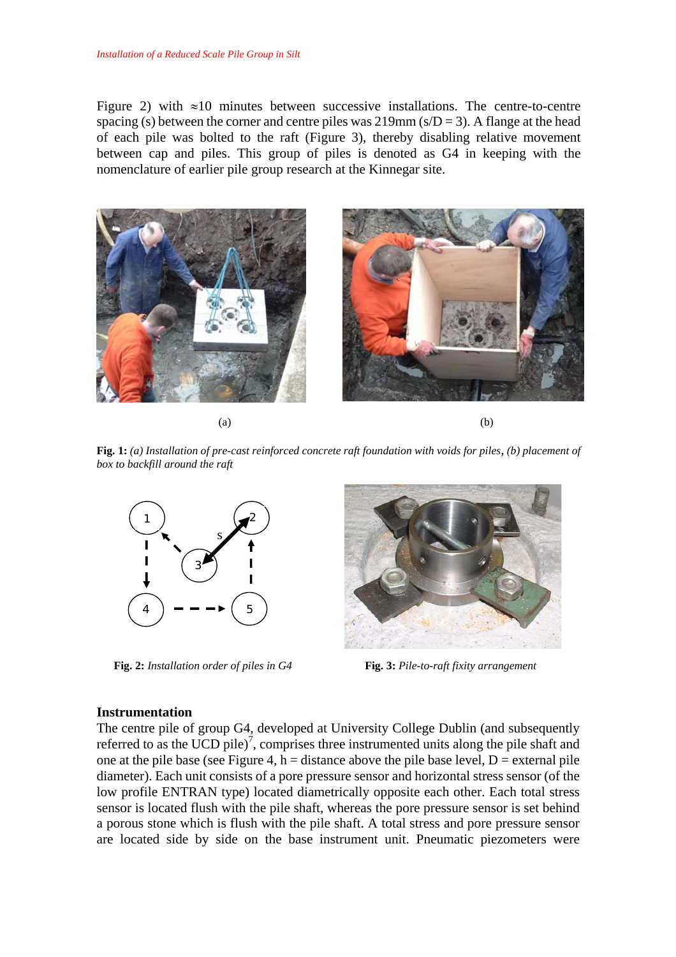Figure 2) with  $\approx 10$  minutes between successive installations. The centre-to-centre spacing (s) between the corner and centre piles was  $219 \text{mm}$  (s/D = 3). A flange at the head of each pile was bolted to the raft (Figure 3), thereby disabling relative movement between cap and piles. This group of piles is denoted as G4 in keeping with the nomenclature of earlier pile group research at the Kinnegar site.



 $(a)$  (b)

**Fig. 1:** *(a) Installation of pre-cast reinforced concrete raft foundation with voids for piles, (b) placement of box to backfill around the raft* 



 **Fig. 2:** *Installation order of piles in G4* **Fig. 3:** *Pile-to-raft fixity arrangement* 



#### **Instrumentation**

The centre pile of group G4, developed at University College Dublin (and subsequently referred to as the UCD pile)<sup>7</sup>, comprises three instrumented units along the pile shaft and one at the pile base (see Figure 4, h = distance above the pile base level,  $D =$  external pile diameter). Each unit consists of a pore pressure sensor and horizontal stress sensor (of the low profile ENTRAN type) located diametrically opposite each other. Each total stress sensor is located flush with the pile shaft, whereas the pore pressure sensor is set behind a porous stone which is flush with the pile shaft. A total stress and pore pressure sensor are located side by side on the base instrument unit. Pneumatic piezometers were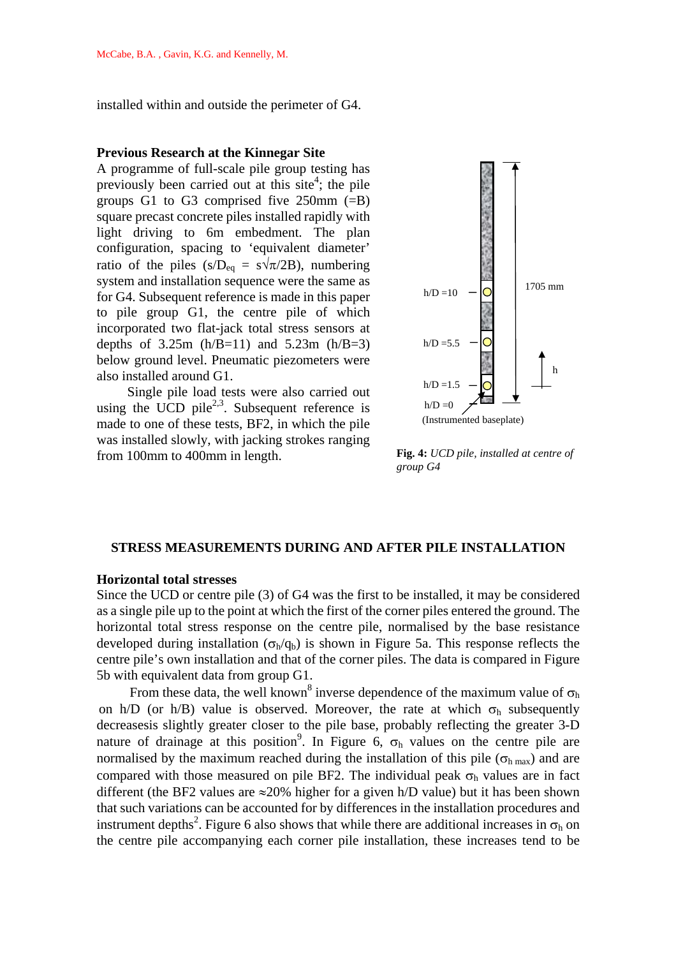installed within and outside the perimeter of G4.

#### **Previous Research at the Kinnegar Site**

A programme of full-scale pile group testing has previously been carried out at this site<sup>4</sup>; the pile groups G1 to G3 comprised five  $250$ mm  $(=B)$ square precast concrete piles installed rapidly with light driving to 6m embedment. The plan configuration, spacing to 'equivalent diameter' ratio of the piles (s/D<sub>eq</sub> = s $\sqrt{\pi}/2B$ ), numbering system and installation sequence were the same as for G4. Subsequent reference is made in this paper to pile group G1, the centre pile of which incorporated two flat-jack total stress sensors at depths of  $3.25m$  (h/B=11) and  $5.23m$  (h/B=3) below ground level. Pneumatic piezometers were also installed around G1.

 Single pile load tests were also carried out using the UCD pile<sup>2,3</sup>. Subsequent reference is made to one of these tests, BF2, in which the pile was installed slowly, with jacking strokes ranging from 100mm to 400mm in length.



 **Fig. 4:** *UCD pile, installed at centre of group G4* 

#### **STRESS MEASUREMENTS DURING AND AFTER PILE INSTALLATION**

## **Horizontal total stresses**

Since the UCD or centre pile (3) of G4 was the first to be installed, it may be considered as a single pile up to the point at which the first of the corner piles entered the ground. The horizontal total stress response on the centre pile, normalised by the base resistance developed during installation ( $\sigma_h/q_b$ ) is shown in Figure 5a. This response reflects the centre pile's own installation and that of the corner piles. The data is compared in Figure 5b with equivalent data from group G1.

From these data, the well known<sup>8</sup> inverse dependence of the maximum value of  $\sigma_h$ on h/D (or h/B) value is observed. Moreover, the rate at which  $\sigma_h$  subsequently decreasesis slightly greater closer to the pile base, probably reflecting the greater 3-D nature of drainage at this position<sup>9</sup>. In Figure 6,  $\sigma_h$  values on the centre pile are normalised by the maximum reached during the installation of this pile ( $\sigma_{h \max}$ ) and are compared with those measured on pile BF2. The individual peak  $\sigma_h$  values are in fact different (the BF2 values are  $\approx$ 20% higher for a given h/D value) but it has been shown that such variations can be accounted for by differences in the installation procedures and instrument depths<sup>2</sup>. Figure 6 also shows that while there are additional increases in  $\sigma_h$  on the centre pile accompanying each corner pile installation, these increases tend to be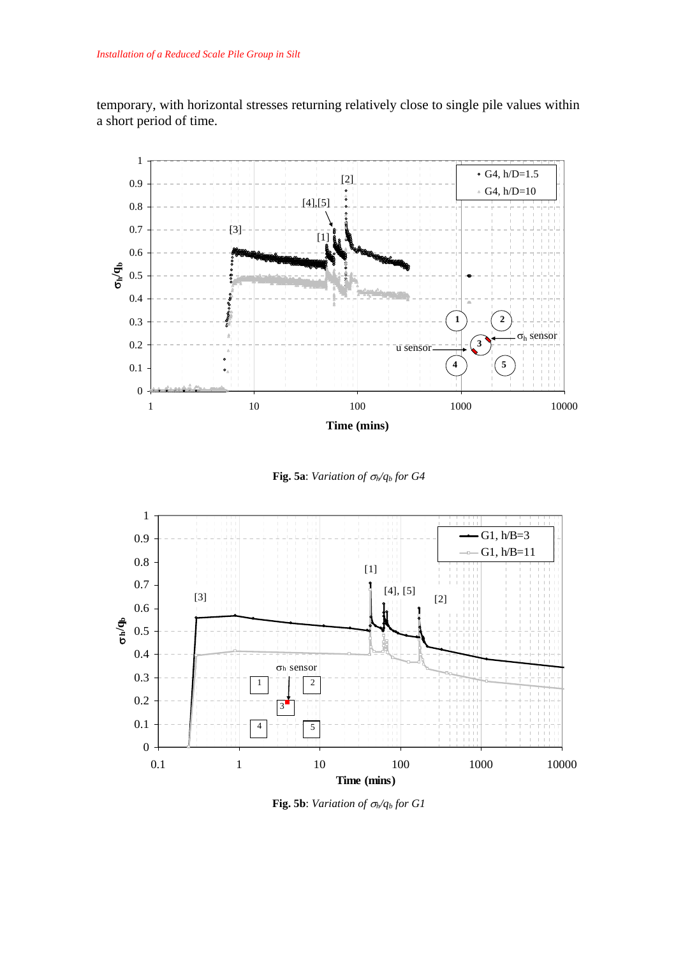temporary, with horizontal stresses returning relatively close to single pile values within a short period of time.



**Fig. 5a**: *Variation of* σ*h/qb for G4* 



**Fig. 5b**: *Variation of*  $\sigma_h/q_b$  *for G1*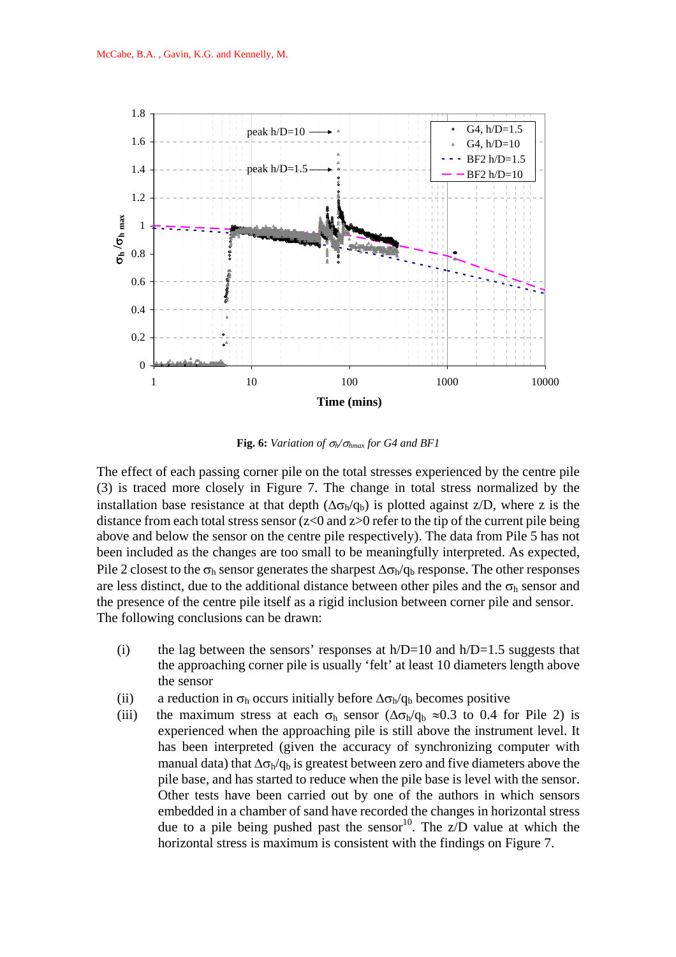

**Fig. 6:** *Variation of*  $\sigma_h/\sigma_{hmax}$  *for G4 and BF1* 

The effect of each passing corner pile on the total stresses experienced by the centre pile (3) is traced more closely in Figure 7. The change in total stress normalized by the installation base resistance at that depth  $(\Delta \sigma_h/q_b)$  is plotted against z/D, where z is the distance from each total stress sensor ( $z<0$  and  $z>0$  refer to the tip of the current pile being above and below the sensor on the centre pile respectively). The data from Pile 5 has not been included as the changes are too small to be meaningfully interpreted. As expected, Pile 2 closest to the  $\sigma_h$  sensor generates the sharpest  $\Delta \sigma_h / q_h$  response. The other responses are less distinct, due to the additional distance between other piles and the  $\sigma_h$  sensor and the presence of the centre pile itself as a rigid inclusion between corner pile and sensor. The following conclusions can be drawn:

- (i) the lag between the sensors' responses at  $h/D=10$  and  $h/D=1.5$  suggests that the approaching corner pile is usually 'felt' at least 10 diameters length above the sensor
- (ii) a reduction in  $\sigma_h$  occurs initially before  $\Delta \sigma_h / q_b$  becomes positive
- (iii) the maximum stress at each  $\sigma_h$  sensor ( $\Delta \sigma_h / q_b \approx 0.3$  to 0.4 for Pile 2) is experienced when the approaching pile is still above the instrument level. It has been interpreted (given the accuracy of synchronizing computer with manual data) that  $\Delta \sigma_h / q_b$  is greatest between zero and five diameters above the pile base, and has started to reduce when the pile base is level with the sensor. Other tests have been carried out by one of the authors in which sensors embedded in a chamber of sand have recorded the changes in horizontal stress due to a pile being pushed past the sensor<sup>10</sup>. The  $Z/D$  value at which the horizontal stress is maximum is consistent with the findings on Figure 7.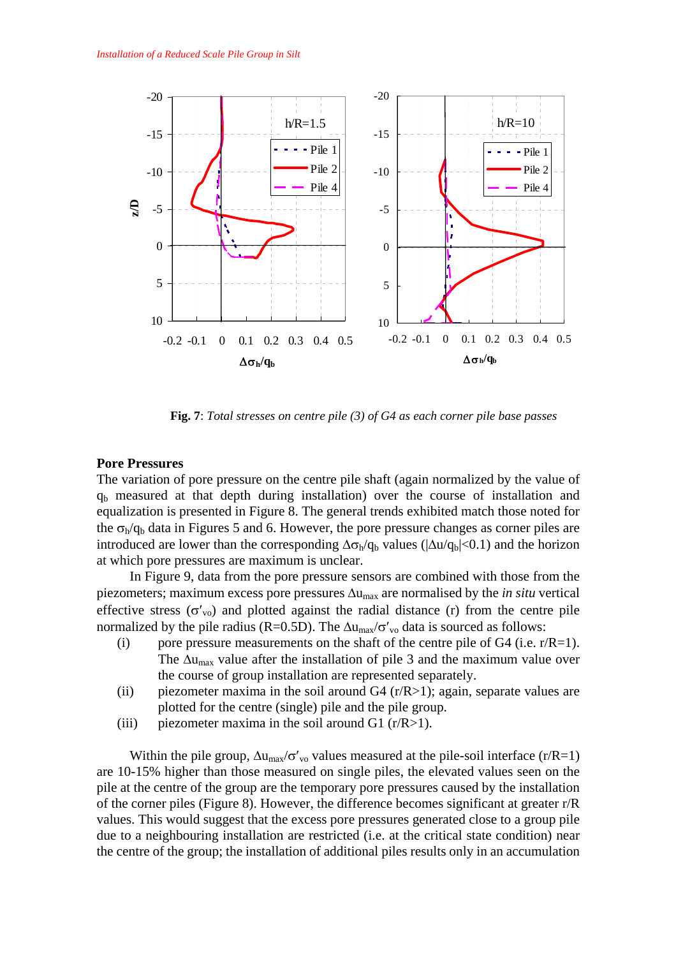

 **Fig. 7**: *Total stresses on centre pile (3) of G4 as each corner pile base passes*

## **Pore Pressures**

The variation of pore pressure on the centre pile shaft (again normalized by the value of  $q<sub>b</sub>$  measured at that depth during installation) over the course of installation and equalization is presented in Figure 8. The general trends exhibited match those noted for the  $\sigma_{h}/q_h$  data in Figures 5 and 6. However, the pore pressure changes as corner piles are introduced are lower than the corresponding  $\Delta \sigma_h / q_b$  values ( $|\Delta u / q_b| < 0.1$ ) and the horizon at which pore pressures are maximum is unclear.

 In Figure 9, data from the pore pressure sensors are combined with those from the piezometers; maximum excess pore pressures Δumax are normalised by the *in situ* vertical effective stress  $(\sigma'_{\text{vo}})$  and plotted against the radial distance (r) from the centre pile normalized by the pile radius (R=0.5D). The  $\Delta u_{\text{max}}/\sigma'_{\text{vo}}$  data is sourced as follows:

- (i) pore pressure measurements on the shaft of the centre pile of  $G4$  (i.e.  $r/R=1$ ). The  $\Delta u_{\text{max}}$  value after the installation of pile 3 and the maximum value over the course of group installation are represented separately.
- (ii) piezometer maxima in the soil around  $G4$  (r/R>1); again, separate values are plotted for the centre (single) pile and the pile group.
- (iii) piezometer maxima in the soil around G1  $(r/R>1)$ .

Within the pile group,  $\Delta u_{\text{max}}/\sigma'_{\text{vo}}$  values measured at the pile-soil interface (r/R=1) are 10-15% higher than those measured on single piles, the elevated values seen on the pile at the centre of the group are the temporary pore pressures caused by the installation of the corner piles (Figure 8). However, the difference becomes significant at greater r/R values. This would suggest that the excess pore pressures generated close to a group pile due to a neighbouring installation are restricted (i.e. at the critical state condition) near the centre of the group; the installation of additional piles results only in an accumulation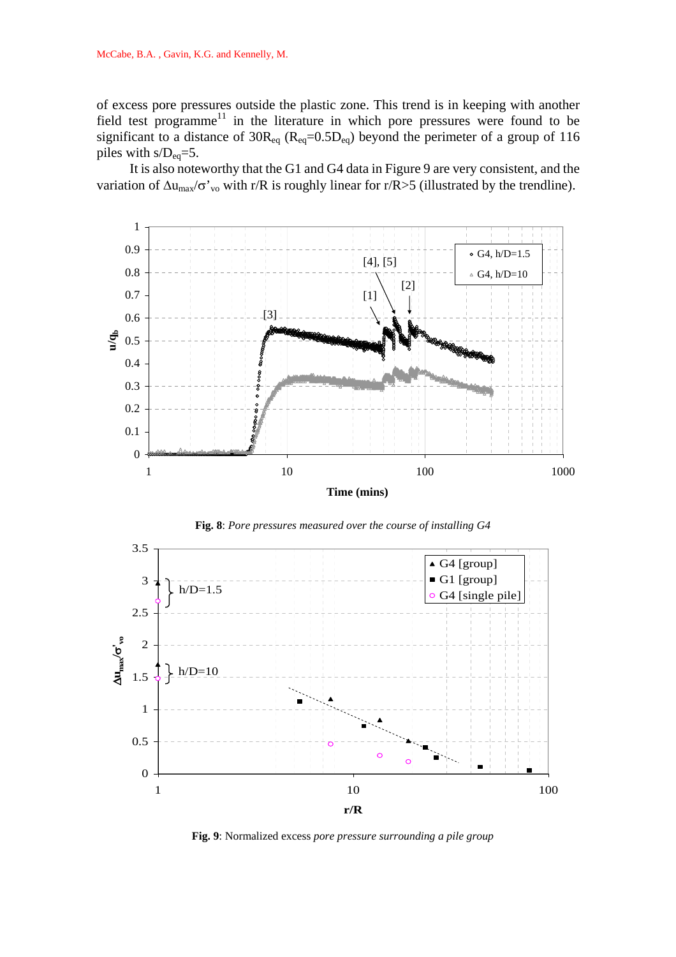of excess pore pressures outside the plastic zone. This trend is in keeping with another field test programme<sup>11</sup> in the literature in which pore pressures were found to be significant to a distance of  $30R_{eq}$  ( $R_{eq}=0.5D_{eq}$ ) beyond the perimeter of a group of 116 piles with  $s/D_{eq}=5$ .

 It is also noteworthy that the G1 and G4 data in Figure 9 are very consistent, and the variation of  $\Delta u_{\text{max}}/\sigma'_{\text{vo}}$  with r/R is roughly linear for r/R>5 (illustrated by the trendline).





**Fig. 8**: *Pore pressures measured over the course of installing G4*

**Fig. 9**: Normalized excess *pore pressure surrounding a pile group*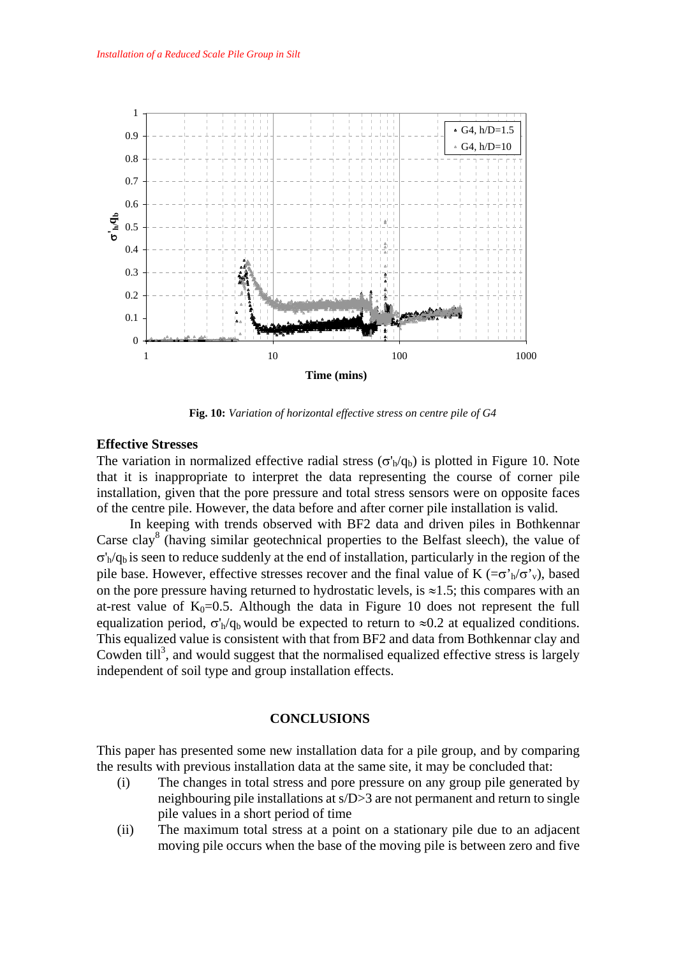

**Fig. 10:** *Variation of horizontal effective stress on centre pile of G4*

# **Effective Stresses**

The variation in normalized effective radial stress ( $\sigma'_b/q_b$ ) is plotted in Figure 10. Note that it is inappropriate to interpret the data representing the course of corner pile installation, given that the pore pressure and total stress sensors were on opposite faces of the centre pile. However, the data before and after corner pile installation is valid.

 In keeping with trends observed with BF2 data and driven piles in Bothkennar Carse clay<sup>8</sup> (having similar geotechnical properties to the Belfast sleech), the value of  $\sigma'$ <sub>h</sub>/q<sub>b</sub> is seen to reduce suddenly at the end of installation, particularly in the region of the pile base. However, effective stresses recover and the final value of K ( $=\sigma'_{h}/\sigma'_{v}$ ), based on the pore pressure having returned to hydrostatic levels, is  $\approx$ 1.5; this compares with an at-rest value of  $K_0=0.5$ . Although the data in Figure 10 does not represent the full equalization period,  $\sigma'_h/q_b$  would be expected to return to  $\approx 0.2$  at equalized conditions. This equalized value is consistent with that from BF2 and data from Bothkennar clay and Cowden till<sup>3</sup>, and would suggest that the normalised equalized effective stress is largely independent of soil type and group installation effects.

# **CONCLUSIONS**

This paper has presented some new installation data for a pile group, and by comparing the results with previous installation data at the same site, it may be concluded that:

- (i) The changes in total stress and pore pressure on any group pile generated by neighbouring pile installations at s/D>3 are not permanent and return to single pile values in a short period of time
- (ii) The maximum total stress at a point on a stationary pile due to an adjacent moving pile occurs when the base of the moving pile is between zero and five